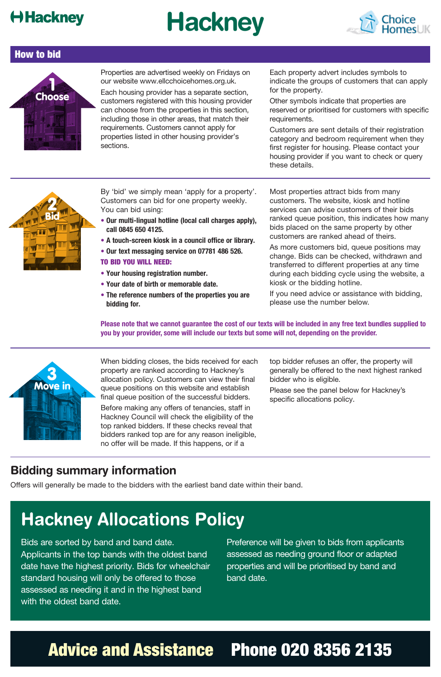### **Hackney**

# **Hackney**



#### How to bid



Properties are advertised weekly on Fridays on our website www.ellcchoicehomes.org.uk.

Each housing provider has a separate section, customers registered with this housing provider can choose from the properties in this section, including those in other areas, that match their requirements. Customers cannot apply for properties listed in other housing provider's sections.

Each property advert includes symbols to indicate the groups of customers that can apply for the property.

Other symbols indicate that properties are reserved or prioritised for customers with specific requirements.

Customers are sent details of their registration category and bedroom requirement when they first register for housing. Please contact your housing provider if you want to check or query these details.



By 'bid' we simply mean 'apply for a property'. Customers can bid for one property weekly. You can bid using:

- **• Our multi-lingual hotline (local call charges apply), call 0845 650 4125.**
- **A touch-screen kiosk in a council office or library.**
- **• Our text messaging service on 07781 486 526.**

#### TO BID YOU WILL NEED:

- **• Your housing registration number.**
- **• Your date of birth or memorable date.**
- **• The reference numbers of the properties you are bidding for.**

Most properties attract bids from many customers. The website, kiosk and hotline services can advise customers of their bids ranked queue position, this indicates how many bids placed on the same property by other customers are ranked ahead of theirs.

As more customers bid, queue positions may change. Bids can be checked, withdrawn and transferred to different properties at any time during each bidding cycle using the website, a kiosk or the bidding hotline.

If you need advice or assistance with bidding, please use the number below.

**Please note that we cannot guarantee the cost of our texts will be included in any free text bundles supplied to you by your provider, some will include our texts but some will not, depending on the provider.**



When bidding closes, the bids received for each property are ranked according to Hackney's allocation policy. Customers can view their final queue positions on this website and establish final queue position of the successful bidders.

Before making any offers of tenancies, staff in Hackney Council will check the eligibility of the top ranked bidders. If these checks reveal that bidders ranked top are for any reason ineligible, no offer will be made. If this happens, or if a

top bidder refuses an offer, the property will generally be offered to the next highest ranked bidder who is eligible.

Please see the panel below for Hackney's specific allocations policy.

#### **Bidding summary information**

Offers will generally be made to the bidders with the earliest band date within their band.

# **Hackney Allocations Policy**

Bids are sorted by band and band date. Applicants in the top bands with the oldest band date have the highest priority. Bids for wheelchair standard housing will only be offered to those assessed as needing it and in the highest band with the oldest band date.

Preference will be given to bids from applicants assessed as needing ground floor or adapted properties and will be prioritised by band and band date.

# Advice and Assistance Phone 020 8356 2135